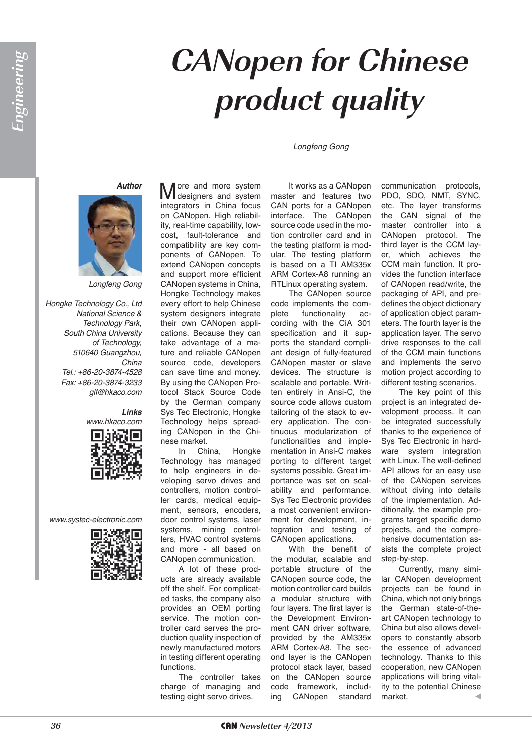# **CANopen for Chinese product quality**

*Longfeng Gong*

#### *Author*



*Longfeng Gong*

*Hongke Technology Co., Ltd National Science & Technology Park, South China University of Technology, 510640 Guangzhou, China Tel.: +86-20-3874-4528 Fax: +86-20-3874-3233 glf@hkaco.com*

> *Links www.hkaco.com*



*www.systec-electronic.com*



More and more system<br>
Mdesigners and system integrators in China focus on CANopen. High reliability, real-time capability, lowcost, fault-tolerance and compatibility are key components of CANopen. To extend CANopen concepts and support more efficient CANopen systems in China, Hongke Technology makes every effort to help Chinese system designers integrate their own CANopen applications. Because they can take advantage of a mature and reliable CANopen source code, developers can save time and money. By using the CANopen Protocol Stack Source Code by the German company Sys Tec Electronic, Hongke Technology helps spreading CANopen in the Chinese market.

In China, Hongke Technology has managed to help engineers in developing servo drives and controllers, motion controller cards, medical equipment, sensors, encoders, door control systems, laser systems, mining controllers, HVAC control systems and more - all based on CANopen communication.

A lot of these products are already available off the shelf. For complicated tasks, the company also provides an OEM porting service. The motion controller card serves the production quality inspection of newly manufactured motors in testing different operating functions.

The controller takes charge of managing and testing eight servo drives.

It works as a CANopen master and features two CAN ports for a CANopen interface. The CANopen source code used in the motion controller card and in the testing platform is modular. The testing platform is based on a TI AM335x ARM Cortex-A8 running an RTLinux operating system.

The CANopen source code implements the complete functionality according with the CiA 301 specification and it supports the standard compliant design of fully-featured CANopen master or slave devices. The structure is scalable and portable. Written entirely in Ansi-C, the source code allows custom tailoring of the stack to every application. The continuous modularization of functionalities and implementation in Ansi-C makes porting to different target systems possible. Great importance was set on scalability and performance. Sys Tec Electronic provides a most convenient environment for development, integration and testing of CANopen applications.

With the benefit of the modular, scalable and portable structure of the CANopen source code, the motion controller card builds a modular structure with four layers. The first layer is the Development Environment CAN driver software, provided by the AM335x ARM Cortex-A8. The second layer is the CANopen protocol stack layer, based on the CANopen source code framework, including CANopen standard

communication protocols, PDO, SDO, NMT, SYNC, etc. The layer transforms the CAN signal of the master controller into a CANopen protocol. The third layer is the CCM layer, which achieves the CCM main function. It provides the function interface of CANopen read/write, the packaging of API, and predefines the object dictionary of application object parameters. The fourth layer is the application layer. The servo drive responses to the call of the CCM main functions and implements the servo motion project according to different testing scenarios.

The key point of this project is an integrated development process. It can be integrated successfully thanks to the experience of Sys Tec Electronic in hardware system integration with Linux. The well-defined API allows for an easy use of the CANopen services without diving into details of the implementation. Additionally, the example programs target specific demo projects, and the comprehensive documentation assists the complete project step-by-step.

Currently, many similar CANopen development projects can be found in China, which not only brings the German state-of-theart CANopen technology to China but also allows developers to constantly absorb the essence of advanced technology. Thanks to this cooperation, new CANopen applications will bring vitality to the potential Chinese market.